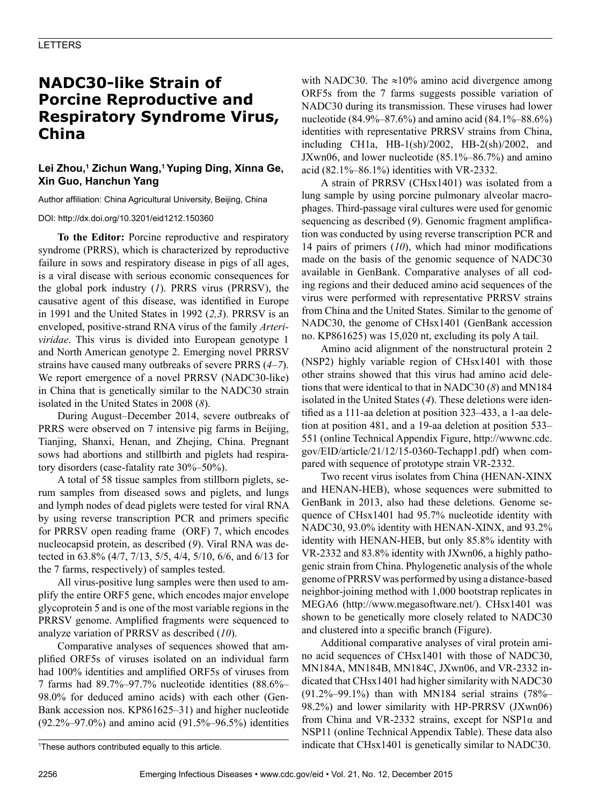# **NADC30-like Strain of Porcine Reproductive and Respiratory Syndrome Virus, China**

### **Lei Zhou,1 Zichun Wang,1 Yuping Ding, Xinna Ge, Xin Guo, Hanchun Yang**

Author affiliation: China Agricultural University, Beijing, China

#### DOI: http://dx.doi.org/10.3201/eid1212.150360

**To the Editor:** Porcine reproductive and respiratory syndrome (PRRS), which is characterized by reproductive failure in sows and respiratory disease in pigs of all ages, is a viral disease with serious economic consequences for the global pork industry (*1*). PRRS virus (PRRSV), the causative agent of this disease, was identified in Europe in 1991 and the United States in 1992 (*2,3*). PRRSV is an enveloped, positive-strand RNA virus of the family *Arteriviridae*. This virus is divided into European genotype 1 and North American genotype 2. Emerging novel PRRSV strains have caused many outbreaks of severe PRRS (*4–7*). We report emergence of a novel PRRSV (NADC30-like) in China that is genetically similar to the NADC30 strain isolated in the United States in 2008 (*8*).

During August–December 2014, severe outbreaks of PRRS were observed on 7 intensive pig farms in Beijing, Tianjing, Shanxi, Henan, and Zhejing, China. Pregnant sows had abortions and stillbirth and piglets had respiratory disorders (case-fatality rate 30%–50%).

A total of 58 tissue samples from stillborn piglets, serum samples from diseased sows and piglets, and lungs and lymph nodes of dead piglets were tested for viral RNA by using reverse transcription PCR and primers specific for PRRSV open reading frame (ORF) 7, which encodes nucleocapsid protein, as described (*9*). Viral RNA was detected in 63.8% (4/7, 7/13, 5/5, 4/4, 5/10, 6/6, and 6/13 for the 7 farms, respectively) of samples tested.

All virus-positive lung samples were then used to amplify the entire ORF5 gene, which encodes major envelope glycoprotein 5 and is one of the most variable regions in the PRRSV genome. Amplified fragments were sequenced to analyze variation of PRRSV as described (*10*).

Comparative analyses of sequences showed that amplified ORF5s of viruses isolated on an individual farm had 100% identities and amplified ORF5s of viruses from 7 farms had 89.7%–97.7% nucleotide identities (88.6%– 98.0% for deduced amino acids) with each other (Gen-Bank accession nos. KP861625–31) and higher nucleotide (92.2%–97.0%) and amino acid (91.5%–96.5%) identities

with NADC30. The  $\approx 10\%$  amino acid divergence among ORF5s from the 7 farms suggests possible variation of NADC30 during its transmission. These viruses had lower nucleotide (84.9%–87.6%) and amino acid (84.1%–88.6%) identities with representative PRRSV strains from China, including CH1a, HB-1(sh)/2002, HB-2(sh)/2002, and JXwn06, and lower nucleotide (85.1%–86.7%) and amino acid (82.1%–86.1%) identities with VR-2332.

A strain of PRRSV (CHsx1401) was isolated from a lung sample by using porcine pulmonary alveolar macrophages. Third-passage viral cultures were used for genomic sequencing as described (*9*). Genomic fragment amplification was conducted by using reverse transcription PCR and 14 pairs of primers (*10*), which had minor modifications made on the basis of the genomic sequence of NADC30 available in GenBank. Comparative analyses of all coding regions and their deduced amino acid sequences of the virus were performed with representative PRRSV strains from China and the United States. Similar to the genome of NADC30, the genome of CHsx1401 (GenBank accession no. KP861625) was 15,020 nt, excluding its poly A tail.

Amino acid alignment of the nonstructural protein 2 (NSP2) highly variable region of CHsx1401 with those other strains showed that this virus had amino acid deletions that were identical to that in NADC30 (*8*) and MN184 isolated in the United States (*4*). These deletions were identified as a 111-aa deletion at position 323–433, a 1-aa deletion at position 481, and a 19-aa deletion at position 533– 551 (online Technical Appendix Figure, http://wwwnc.cdc. gov/EID/article/21/12/15-0360-Techapp1.pdf) when compared with sequence of prototype strain VR-2332.

Two recent virus isolates from China (HENAN-XINX and HENAN-HEB), whose sequences were submitted to GenBank in 2013, also had these deletions. Genome sequence of CHsx1401 had 95.7% nucleotide identity with NADC30, 93.0% identity with HENAN-XINX, and 93.2% identity with HENAN-HEB, but only 85.8% identity with VR-2332 and 83.8% identity with JXwn06, a highly pathogenic strain from China. Phylogenetic analysis of the whole genome of PRRSV was performed by using a distance-based neighbor-joining method with 1,000 bootstrap replicates in MEGA6 (http://www.megasoftware.net/). CHsx1401 was shown to be genetically more closely related to NADC30 and clustered into a specific branch (Figure).

Additional comparative analyses of viral protein amino acid sequences of CHsx1401 with those of NADC30, MN184A, MN184B, MN184C, JXwn06, and VR-2332 indicated that CHsx1401 had higher similarity with NADC30 (91.2%–99.1%) than with MN184 serial strains (78%– 98.2%) and lower similarity with HP-PRRSV (JXwn06) from China and VR-2332 strains, except for NSP1 $\alpha$  and NSP11 (online Technical Appendix Table). These data also indicate that CHsx1401 is genetically similar to NADC30.

<sup>1</sup> These authors contributed equally to this article.